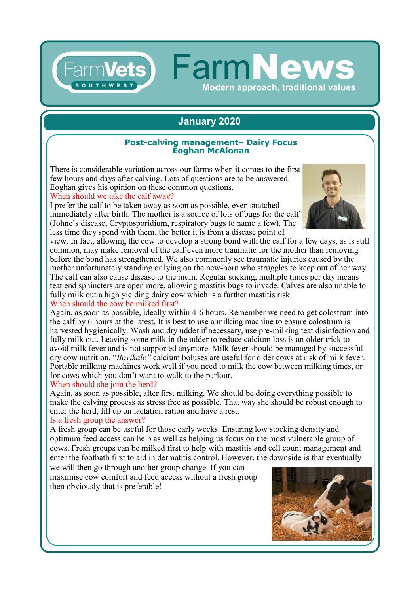## **January 2020**

**FarmNew** 

**Modern approach, traditional values** 

#### **Post-calving management– Dairy Focus Eoghan McAlonan**

There is considerable variation across our farms when it comes to the first few hours and days after calving. Lots of questions are to be answered. Eoghan gives his opinion on these common questions.

When should we take the calf away?

I prefer the calf to be taken away as soon as possible, even snatched immediately after birth. The mother is a source of lots of bugs for the calf (Johne's disease, Cryptosporidium, respiratory bugs to name a few). The less time they spend with them, the better it is from a disease point of



view. In fact, allowing the cow to develop a strong bond with the calf for a few days, as is still common, may make removal of the calf even more traumatic for the mother than removing before the bond has strengthened. We also commonly see traumatic injuries caused by the mother unfortunately standing or lying on the new-born who struggles to keep out of her way. The calf can also cause disease to the mum. Regular sucking, multiple times per day means teat end sphincters are open more, allowing mastitis bugs to invade. Calves are also unable to fully milk out a high yielding dairy cow which is a further mastitis risk. When should the cow be milked first?

Again, as soon as possible, ideally within 4-6 hours. Remember we need to get colostrum into the calf by 6 hours at the latest. It is best to use a milking machine to ensure colostrum is harvested hygienically. Wash and dry udder if necessary, use pre-milking teat disinfection and fully milk out. Leaving some milk in the udder to reduce calcium loss is an older trick to avoid milk fever and is not supported anymore. Milk fever should be managed by successful dry cow nutrition. "*Bovikalc"* calcium boluses are useful for older cows at risk of milk fever. Portable milking machines work well if you need to milk the cow between milking times, or for cows which you don't want to walk to the parlour.

#### When should she join the herd?

Again, as soon as possible, after first milking. We should be doing everything possible to make the calving process as stress free as possible. That way she should be robust enough to enter the herd, fill up on lactation ration and have a rest.

### Is a fresh group the answer?

A fresh group can be useful for those early weeks. Ensuring low stocking density and optimum feed access can help as well as helping us focus on the most vulnerable group of cows. Fresh groups can be milked first to help with mastitis and cell count management and enter the footbath first to aid in dermatitis control. However, the downside is that eventually we will then go through another group change. If you can

maximise cow comfort and feed access without a fresh group then obviously that is preferable!